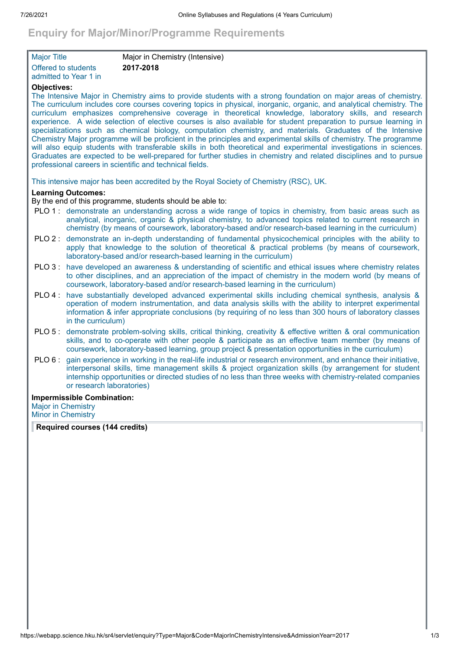# **Enquiry for Major/Minor/Programme Requirements**

| <b>Major Title</b>    | Major in Chemistry (Intensive) |
|-----------------------|--------------------------------|
| Offered to students   | 2017-2018                      |
| admitted to Year 1 in |                                |

## **Objectives:**

The Intensive Major in Chemistry aims to provide students with a strong foundation on major areas of chemistry. The curriculum includes core courses covering topics in physical, inorganic, organic, and analytical chemistry. The curriculum emphasizes comprehensive coverage in theoretical knowledge, laboratory skills, and research experience. A wide selection of elective courses is also available for student preparation to pursue learning in specializations such as chemical biology, computation chemistry, and materials. Graduates of the Intensive Chemistry Major programme will be proficient in the principles and experimental skills of chemistry. The programme will also equip students with transferable skills in both theoretical and experimental investigations in sciences. Graduates are expected to be well-prepared for further studies in chemistry and related disciplines and to pursue professional careers in scientific and technical fields.

This intensive major has been accredited by the Royal Society of Chemistry (RSC), UK.

## **Learning Outcomes:**

By the end of this programme, students should be able to:

- PLO 1 : demonstrate an understanding across a wide range of topics in chemistry, from basic areas such as analytical, inorganic, organic & physical chemistry, to advanced topics related to current research in chemistry (by means of coursework, laboratory-based and/or research-based learning in the curriculum)
- PLO 2 : demonstrate an in-depth understanding of fundamental physicochemical principles with the ability to apply that knowledge to the solution of theoretical & practical problems (by means of coursework, laboratory-based and/or research-based learning in the curriculum)
- PLO 3 : have developed an awareness & understanding of scientific and ethical issues where chemistry relates to other disciplines, and an appreciation of the impact of chemistry in the modern world (by means of coursework, laboratory-based and/or research-based learning in the curriculum)
- PLO 4 : have substantially developed advanced experimental skills including chemical synthesis, analysis & operation of modern instrumentation, and data analysis skills with the ability to interpret experimental information & infer appropriate conclusions (by requiring of no less than 300 hours of laboratory classes in the curriculum)
- PLO 5 : demonstrate problem-solving skills, critical thinking, creativity & effective written & oral communication skills, and to co-operate with other people & participate as an effective team member (by means of coursework, laboratory-based learning, group project & presentation opportunities in the curriculum)
- PLO 6 : gain experience in working in the real-life industrial or research environment, and enhance their initiative, interpersonal skills, time management skills & project organization skills (by arrangement for student internship opportunities or directed studies of no less than three weeks with chemistry-related companies or research laboratories)

#### **Impermissible Combination:**

Major in Chemistry Minor in Chemistry

**Required courses (144 credits)**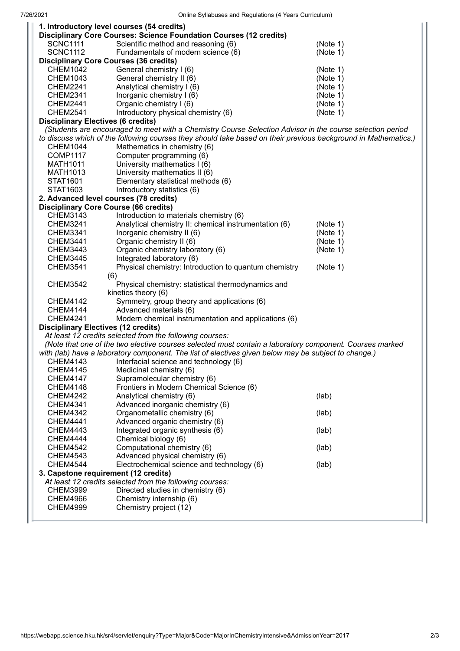|                                                                                                                | 1. Introductory level courses (54 credits)                         |          |
|----------------------------------------------------------------------------------------------------------------|--------------------------------------------------------------------|----------|
|                                                                                                                | Disciplinary Core Courses: Science Foundation Courses (12 credits) |          |
| <b>SCNC1111</b>                                                                                                | Scientific method and reasoning (6)                                | (Note 1) |
| <b>SCNC1112</b>                                                                                                | Fundamentals of modern science (6)                                 | (Note 1) |
|                                                                                                                | <b>Disciplinary Core Courses (36 credits)</b>                      |          |
| <b>CHEM1042</b>                                                                                                | General chemistry I (6)                                            | (Note 1) |
| <b>CHEM1043</b>                                                                                                | General chemistry II (6)                                           | (Note 1) |
| <b>CHEM2241</b>                                                                                                | Analytical chemistry I (6)                                         | (Note 1) |
| <b>CHEM2341</b>                                                                                                | Inorganic chemistry I (6)                                          | (Note 1) |
| <b>CHEM2441</b>                                                                                                | Organic chemistry I (6)                                            | (Note 1) |
| <b>CHEM2541</b>                                                                                                | Introductory physical chemistry (6)                                | (Note 1) |
| <b>Disciplinary Electives (6 credits)</b>                                                                      |                                                                    |          |
| (Students are encouraged to meet with a Chemistry Course Selection Advisor in the course selection period      |                                                                    |          |
| to discuss which of the following courses they should take based on their previous background in Mathematics.) |                                                                    |          |
| <b>CHEM1044</b>                                                                                                | Mathematics in chemistry (6)                                       |          |
| <b>COMP1117</b>                                                                                                | Computer programming (6)                                           |          |
| <b>MATH1011</b>                                                                                                | University mathematics I (6)                                       |          |
| MATH1013                                                                                                       | University mathematics II (6)                                      |          |
| STAT1601                                                                                                       | Elementary statistical methods (6)                                 |          |
| STAT1603                                                                                                       | Introductory statistics (6)                                        |          |
|                                                                                                                | 2. Advanced level courses (78 credits)                             |          |
|                                                                                                                | <b>Disciplinary Core Course (66 credits)</b>                       |          |
| CHEM3143                                                                                                       | Introduction to materials chemistry (6)                            |          |
| <b>CHEM3241</b>                                                                                                | Analytical chemistry II: chemical instrumentation (6)              | (Note 1) |
| <b>CHEM3341</b>                                                                                                | Inorganic chemistry II (6)                                         | (Note 1) |
| <b>CHEM3441</b>                                                                                                | Organic chemistry II (6)                                           | (Note 1) |
| <b>CHEM3443</b>                                                                                                | Organic chemistry laboratory (6)                                   | (Note 1) |
|                                                                                                                |                                                                    |          |
| <b>CHEM3445</b>                                                                                                | Integrated laboratory (6)                                          |          |
| <b>CHEM3541</b>                                                                                                | Physical chemistry: Introduction to quantum chemistry              | (Note 1) |
|                                                                                                                | (6)                                                                |          |
| <b>CHEM3542</b>                                                                                                | Physical chemistry: statistical thermodynamics and                 |          |
|                                                                                                                | kinetics theory (6)                                                |          |
| <b>CHEM4142</b>                                                                                                | Symmetry, group theory and applications (6)                        |          |
| <b>CHEM4144</b>                                                                                                | Advanced materials (6)                                             |          |
| Modern chemical instrumentation and applications (6)<br><b>CHEM4241</b>                                        |                                                                    |          |
| <b>Disciplinary Electives (12 credits)</b>                                                                     |                                                                    |          |
| At least 12 credits selected from the following courses:                                                       |                                                                    |          |
| (Note that one of the two elective courses selected must contain a laboratory component. Courses marked        |                                                                    |          |
| with (lab) have a laboratory component. The list of electives given below may be subject to change.)           |                                                                    |          |
| CHEM4143                                                                                                       | Interfacial science and technology (6)                             |          |
| <b>CHEM4145</b>                                                                                                | Medicinal chemistry (6)                                            |          |
| <b>CHEM4147</b>                                                                                                | Supramolecular chemistry (6)                                       |          |
| <b>CHEM4148</b>                                                                                                | Frontiers in Modern Chemical Science (6)                           |          |
| <b>CHEM4242</b>                                                                                                | Analytical chemistry (6)                                           | (lab)    |
| <b>CHEM4341</b>                                                                                                | Advanced inorganic chemistry (6)                                   |          |
| <b>CHEM4342</b>                                                                                                | Organometallic chemistry (6)                                       | (lab)    |
| <b>CHEM4441</b>                                                                                                | Advanced organic chemistry (6)                                     |          |
| <b>CHEM4443</b>                                                                                                | Integrated organic synthesis (6)                                   | (lab)    |
| <b>CHEM4444</b>                                                                                                | Chemical biology (6)                                               |          |
| <b>CHEM4542</b>                                                                                                | Computational chemistry (6)                                        | (lab)    |
| <b>CHEM4543</b>                                                                                                | Advanced physical chemistry (6)                                    |          |
| <b>CHEM4544</b>                                                                                                | Electrochemical science and technology (6)                         | (lab)    |
| 3. Capstone requirement (12 credits)                                                                           |                                                                    |          |
|                                                                                                                | At least 12 credits selected from the following courses:           |          |
| <b>CHEM3999</b>                                                                                                | Directed studies in chemistry (6)                                  |          |
| <b>CHEM4966</b>                                                                                                | Chemistry internship (6)                                           |          |
| <b>CHEM4999</b>                                                                                                | Chemistry project (12)                                             |          |
|                                                                                                                |                                                                    |          |